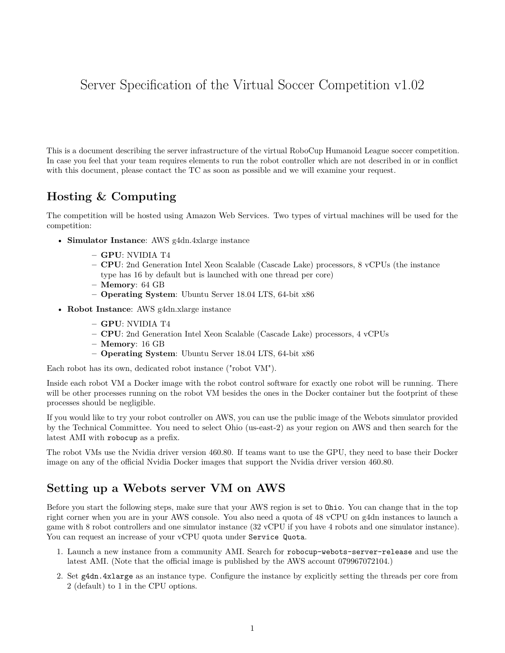# Server Specification of the Virtual Soccer Competition v1.02

This is a document describing the server infrastructure of the virtual RoboCup Humanoid League soccer competition. In case you feel that your team requires elements to run the robot controller which are not described in or in conflict with this document, please contact the TC as soon as possible and we will examine your request.

## **Hosting & Computing**

The competition will be hosted using Amazon Web Services. Two types of virtual machines will be used for the competition:

- **Simulator Instance**: AWS g4dn.4xlarge instance
	- **– GPU**: NVIDIA T4
	- **– CPU**: 2nd Generation Intel Xeon Scalable (Cascade Lake) processors, 8 vCPUs (the instance type has 16 by default but is launched with one thread per core)
	- **– Memory**: 64 GB
	- **– Operating System**: Ubuntu Server 18.04 LTS, 64-bit x86
- **Robot Instance**: AWS g4dn.xlarge instance
	- **– GPU**: NVIDIA T4
	- **– CPU**: 2nd Generation Intel Xeon Scalable (Cascade Lake) processors, 4 vCPUs
	- **– Memory**: 16 GB
	- **– Operating System**: Ubuntu Server 18.04 LTS, 64-bit x86

Each robot has its own, dedicated robot instance ("robot VM").

Inside each robot VM a Docker image with the robot control software for exactly one robot will be running. There will be other processes running on the robot VM besides the ones in the Docker container but the footprint of these processes should be negligible.

If you would like to try your robot controller on AWS, you can use the public image of the Webots simulator provided by the Technical Committee. You need to select Ohio (us-east-2) as your region on AWS and then search for the latest AMI with robocup as a prefix.

The robot VMs use the Nvidia driver version 460.80. If teams want to use the GPU, they need to base their Docker image on any of the official Nvidia Docker images that support the Nvidia driver version 460.80.

## **Setting up a Webots server VM on AWS**

Before you start the following steps, make sure that your AWS region is set to Ohio. You can change that in the top right corner when you are in your AWS console. You also need a quota of 48 vCPU on g4dn instances to launch a game with 8 robot controllers and one simulator instance (32 vCPU if you have 4 robots and one simulator instance). You can request an increase of your vCPU quota under Service Quota.

- 1. Launch a new instance from a community AMI. Search for robocup-webots-server-release and use the latest AMI. (Note that the official image is published by the AWS account 079967072104.)
- 2. Set g4dn.4xlarge as an instance type. Configure the instance by explicitly setting the threads per core from 2 (default) to 1 in the CPU options.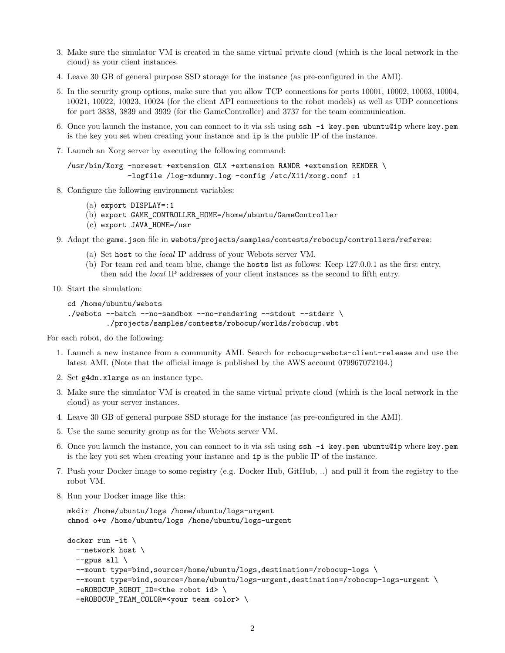- 3. Make sure the simulator VM is created in the same virtual private cloud (which is the local network in the cloud) as your client instances.
- 4. Leave 30 GB of general purpose SSD storage for the instance (as pre-configured in the AMI).
- 5. In the security group options, make sure that you allow TCP connections for ports 10001, 10002, 10003, 10004, 10021, 10022, 10023, 10024 (for the client API connections to the robot models) as well as UDP connections for port 3838, 3839 and 3939 (for the GameController) and 3737 for the team communication.
- 6. Once you launch the instance, you can connect to it via ssh using ssh -i key.pem ubuntu@ip where key.pem is the key you set when creating your instance and ip is the public IP of the instance.
- 7. Launch an Xorg server by executing the following command:

```
/usr/bin/Xorg -noreset +extension GLX +extension RANDR +extension RENDER \
              -logfile /log-xdummy.log -config /etc/X11/xorg.conf :1
```
- 8. Configure the following environment variables:
	- (a) export DISPLAY=:1
	- (b) export GAME\_CONTROLLER\_HOME=/home/ubuntu/GameController
	- (c) export JAVA\_HOME=/usr
- 9. Adapt the game.json file in webots/projects/samples/contests/robocup/controllers/referee:
	- (a) Set host to the *local* IP address of your Webots server VM.
	- (b) For team red and team blue, change the hosts list as follows: Keep 127.0.0.1 as the first entry, then add the *local* IP addresses of your client instances as the second to fifth entry.
- 10. Start the simulation:

```
cd /home/ubuntu/webots
./webots --batch --no-sandbox --no-rendering --stdout --stderr \
         ./projects/samples/contests/robocup/worlds/robocup.wbt
```
For each robot, do the following:

- 1. Launch a new instance from a community AMI. Search for robocup-webots-client-release and use the latest AMI. (Note that the official image is published by the AWS account 079967072104.)
- 2. Set g4dn.xlarge as an instance type.
- 3. Make sure the simulator VM is created in the same virtual private cloud (which is the local network in the cloud) as your server instances.
- 4. Leave 30 GB of general purpose SSD storage for the instance (as pre-configured in the AMI).
- 5. Use the same security group as for the Webots server VM.
- 6. Once you launch the instance, you can connect to it via ssh using ssh -i key.pem ubuntu@ip where key.pem is the key you set when creating your instance and ip is the public IP of the instance.
- 7. Push your Docker image to some registry (e.g. Docker Hub, GitHub, ..) and pull it from the registry to the robot VM.
- 8. Run your Docker image like this:

```
mkdir /home/ubuntu/logs /home/ubuntu/logs-urgent
chmod o+w /home/ubuntu/logs /home/ubuntu/logs-urgent
```

```
docker run -it \
  --network host \
  -gpus all \setminus--mount type=bind,source=/home/ubuntu/logs,destination=/robocup-logs \
  --mount type=bind,source=/home/ubuntu/logs-urgent,destination=/robocup-logs-urgent \
  -eROBOCUP_ROBOT_ID=<the robot id> \
  -eROBOCUP_TEAM_COLOR=<your team color> \
```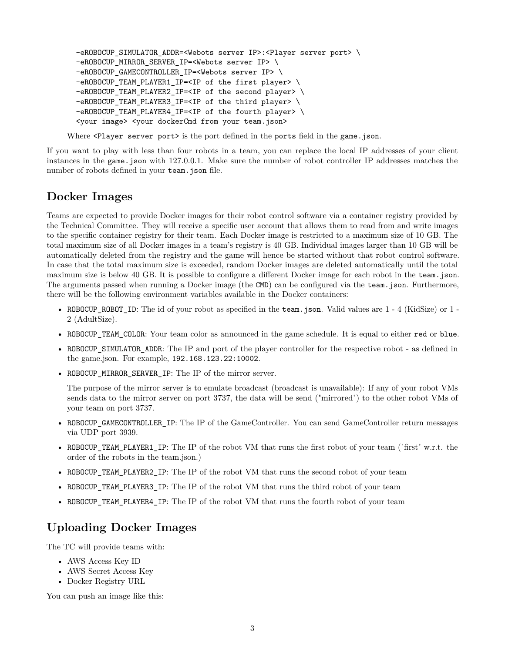```
-eROBOCUP_SIMULATOR_ADDR=<Webots server IP>:<Player server port> \
-eROBOCUP_MIRROR_SERVER_IP=<Webots server IP> \
-eROBOCUP_GAMECONTROLLER_IP=<Webots server IP> \
-eROBOCUP_TEAM_PLAYER1_IP=<IP of the first player> \
-eROBOCUP_TEAM_PLAYER2_IP=<IP of the second player> \
-eROBOCUP_TEAM_PLAYER3_IP=<IP of the third player> \
-eROBOCUP_TEAM_PLAYER4_IP=<IP of the fourth player> \
<your image> <your dockerCmd from your team.json>
```
Where <Player server port> is the port defined in the ports field in the game.json.

If you want to play with less than four robots in a team, you can replace the local IP addresses of your client instances in the game.json with 127.0.0.1. Make sure the number of robot controller IP addresses matches the number of robots defined in your team.json file.

#### **Docker Images**

Teams are expected to provide Docker images for their robot control software via a container registry provided by the Technical Committee. They will receive a specific user account that allows them to read from and write images to the specific container registry for their team. Each Docker image is restricted to a maximum size of 10 GB. The total maximum size of all Docker images in a team's registry is 40 GB. Individual images larger than 10 GB will be automatically deleted from the registry and the game will hence be started without that robot control software. In case that the total maximum size is exceeded, random Docker images are deleted automatically until the total maximum size is below 40 GB. It is possible to configure a different Docker image for each robot in the team.json. The arguments passed when running a Docker image (the CMD) can be configured via the team.json. Furthermore, there will be the following environment variables available in the Docker containers:

- ROBOCUP\_ROBOT\_ID: The id of your robot as specified in the team. json. Valid values are 1 4 (KidSize) or 1 -2 (AdultSize).
- ROBOCUP\_TEAM\_COLOR: Your team color as announced in the game schedule. It is equal to either red or blue.
- ROBOCUP\_SIMULATOR\_ADDR: The IP and port of the player controller for the respective robot as defined in the game.json. For example, 192.168.123.22:10002.
- ROBOCUP MIRROR SERVER IP: The IP of the mirror server.

The purpose of the mirror server is to emulate broadcast (broadcast is unavailable): If any of your robot VMs sends data to the mirror server on port 3737, the data will be send ("mirrored") to the other robot VMs of your team on port 3737.

- ROBOCUP GAMECONTROLLER IP: The IP of the GameController. You can send GameController return messages via UDP port 3939.
- ROBOCUP\_TEAM\_PLAYER1\_IP: The IP of the robot VM that runs the first robot of your team ("first" w.r.t. the order of the robots in the team.json.)
- ROBOCUP\_TEAM\_PLAYER2\_IP: The IP of the robot VM that runs the second robot of your team
- ROBOCUP\_TEAM\_PLAYER3\_IP: The IP of the robot VM that runs the third robot of your team
- ROBOCUP\_TEAM\_PLAYER4\_IP: The IP of the robot VM that runs the fourth robot of your team

#### **Uploading Docker Images**

The TC will provide teams with:

- AWS Access Key ID
- AWS Secret Access Key
- Docker Registry URL

You can push an image like this: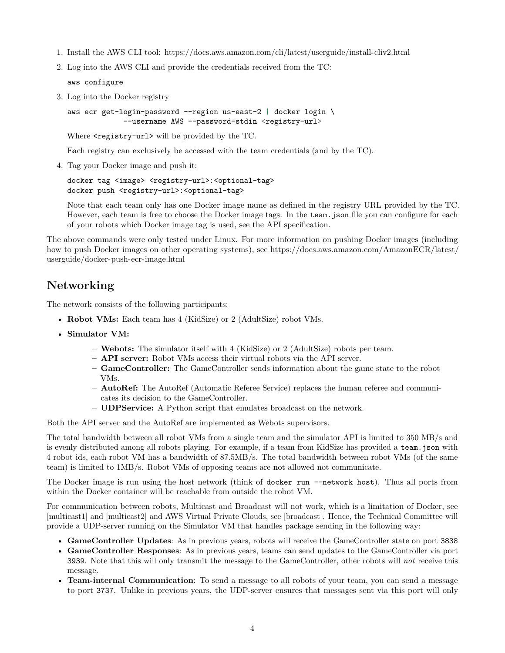- 1. Install the AWS CLI tool:<https://docs.aws.amazon.com/cli/latest/userguide/install-cliv2.html>
- 2. Log into the AWS CLI and provide the credentials received from the TC:

aws configure

3. Log into the Docker registry

aws ecr get-login-password --region us-east-2 **|** docker login \ --username AWS --password-stdin <registry-url>

Where  $\langle$  registry-url> will be provided by the TC.

Each registry can exclusively be accessed with the team credentials (and by the TC).

4. Tag your Docker image and push it:

docker tag <image> <registry-url>:<optional-tag> docker push <registry-url>:<optional-tag>

Note that each team only has one Docker image name as defined in the registry URL provided by the TC. However, each team is free to choose the Docker image tags. In the team, json file you can configure for each of your robots which Docker image tag is used, see the API specification.

The above commands were only tested under Linux. For more information on pushing Docker images (including how to push Docker images on other operating systems), see [https://docs.aws.amazon.com/AmazonECR/latest/](https://docs.aws.amazon.com/AmazonECR/latest/userguide/docker-push-ecr-image.html) [userguide/docker-push-ecr-image.html](https://docs.aws.amazon.com/AmazonECR/latest/userguide/docker-push-ecr-image.html)

### **Networking**

The network consists of the following participants:

- **Robot VMs:** Each team has 4 (KidSize) or 2 (AdultSize) robot VMs.
- **Simulator VM:**
	- **– Webots:** The simulator itself with 4 (KidSize) or 2 (AdultSize) robots per team.
	- **– API server:** Robot VMs access their virtual robots via the API server.
	- **– GameController:** The GameController sends information about the game state to the robot VMs.
	- **– AutoRef:** The AutoRef (Automatic Referee Service) replaces the human referee and communicates its decision to the GameController.
	- **– UDPService:** A Python script that emulates broadcast on the network.

Both the API server and the AutoRef are implemented as Webots supervisors.

The total bandwidth between all robot VMs from a single team and the simulator API is limited to 350 MB/s and is evenly distributed among all robots playing. For example, if a team from KidSize has provided a team.json with 4 robot ids, each robot VM has a bandwidth of 87.5MB/s. The total bandwidth between robot VMs (of the same team) is limited to 1MB/s. Robot VMs of opposing teams are not allowed not communicate.

The Docker image is run using the host network (think of docker run --network host). Thus all ports from within the Docker container will be reachable from outside the robot VM.

For communication between robots, Multicast and Broadcast will not work, which is a limitation of Docker, see [\[multicast1\]](#page-6-0) and [\[multicast2\]](#page-6-1) and AWS Virtual Private Clouds, see [\[broadcast\].](#page-6-2) Hence, the Technical Committee will provide a UDP-server running on the Simulator VM that handles package sending in the following way:

- **GameController Updates**: As in previous years, robots will receive the GameController state on port 3838
- **GameController Responses**: As in previous years, teams can send updates to the GameController via port 3939. Note that this will only transmit the message to the GameController, other robots will *not* receive this message.
- **Team-internal Communication**: To send a message to all robots of your team, you can send a message to port 3737. Unlike in previous years, the UDP-server ensures that messages sent via this port will only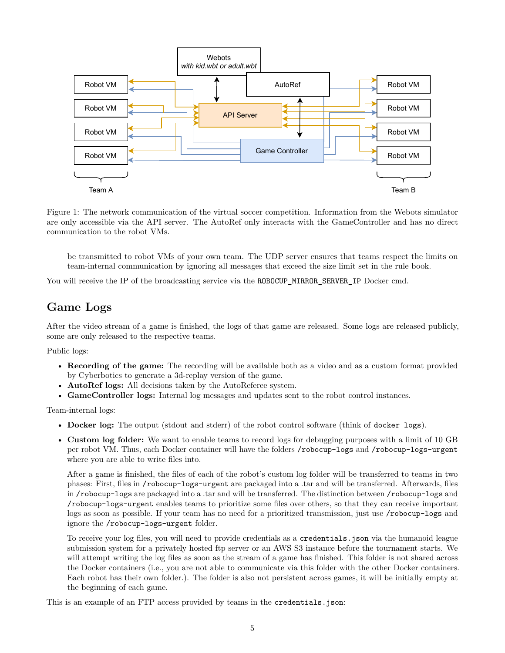

Figure 1: The network communication of the virtual soccer competition. Information from the Webots simulator are only accessible via the API server. The AutoRef only interacts with the GameController and has no direct communication to the robot VMs.

be transmitted to robot VMs of your own team. The UDP server ensures that teams respect the limits on team-internal communication by ignoring all messages that exceed the size limit set in the rule book.

You will receive the IP of the broadcasting service via the ROBOCUP\_MIRROR\_SERVER\_IP Docker cmd.

### **Game Logs**

After the video stream of a game is finished, the logs of that game are released. Some logs are released publicly, some are only released to the respective teams.

Public logs:

- **Recording of the game:** The recording will be available both as a video and as a custom format provided by Cyberbotics to generate a 3d-replay version of the game.
- **AutoRef logs:** All decisions taken by the AutoReferee system.
- **GameController logs:** Internal log messages and updates sent to the robot control instances.

Team-internal logs:

- **Docker log:** The output (stdout and stderr) of the robot control software (think of docker logs).
- **Custom log folder:** We want to enable teams to record logs for debugging purposes with a limit of 10 GB per robot VM. Thus, each Docker container will have the folders /robocup-logs and /robocup-logs-urgent where you are able to write files into.

After a game is finished, the files of each of the robot's custom log folder will be transferred to teams in two phases: First, files in /robocup-logs-urgent are packaged into a .tar and will be transferred. Afterwards, files in /robocup-logs are packaged into a .tar and will be transferred. The distinction between /robocup-logs and /robocup-logs-urgent enables teams to prioritize some files over others, so that they can receive important logs as soon as possible. If your team has no need for a prioritized transmission, just use /robocup-logs and ignore the /robocup-logs-urgent folder.

To receive your log files, you will need to provide credentials as a credentials.json via the humanoid league submission system for a privately hosted ftp server or an AWS S3 instance before the tournament starts. We will attempt writing the log files as soon as the stream of a game has finished. This folder is not shared across the Docker containers (i.e., you are not able to communicate via this folder with the other Docker containers. Each robot has their own folder.). The folder is also not persistent across games, it will be initially empty at the beginning of each game.

This is an example of an FTP access provided by teams in the credentials.json: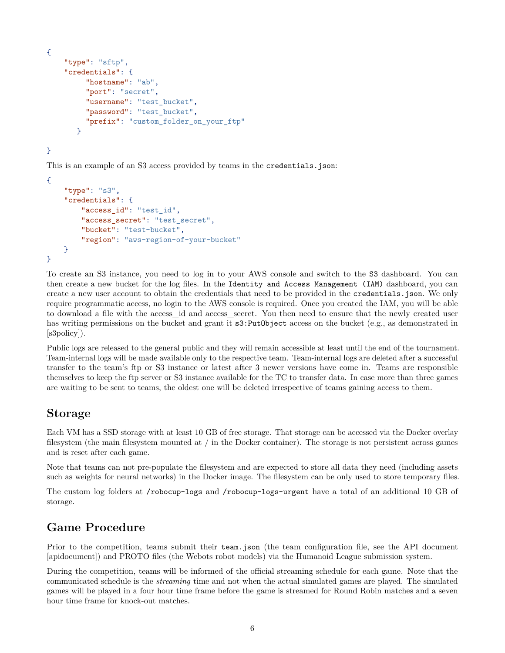```
{
    "type": "sftp",
    "credentials": {
         "hostname": "ab",
         "port": "secret",
         "username": "test_bucket",
         "password": "test_bucket",
         "prefix": "custom_folder_on_your_ftp"
       }
```
}

This is an example of an S3 access provided by teams in the credentials.json:

```
{
    "type": "s3",
    "credentials": {
        "access_id": "test_id",
        "access secret": "test secret",
        "bucket": "test-bucket",
        "region": "aws-region-of-your-bucket"
    }
}
```
To create an S3 instance, you need to log in to your AWS console and switch to the S3 dashboard. You can then create a new bucket for the log files. In the Identity and Access Management (IAM) dashboard, you can create a new user account to obtain the credentials that need to be provided in the credentials.json. We only require programmatic access, no login to the AWS console is required. Once you created the IAM, you will be able to download a file with the access\_id and access\_secret. You then need to ensure that the newly created user has writing permissions on the bucket and grant it  $s3:PutObject$  access on the bucket (e.g., as demonstrated in [\[s3policy\]\)](#page-6-3).

Public logs are released to the general public and they will remain accessible at least until the end of the tournament. Team-internal logs will be made available only to the respective team. Team-internal logs are deleted after a successful transfer to the team's ftp or S3 instance or latest after 3 newer versions have come in. Teams are responsible themselves to keep the ftp server or S3 instance available for the TC to transfer data. In case more than three games are waiting to be sent to teams, the oldest one will be deleted irrespective of teams gaining access to them.

#### **Storage**

Each VM has a SSD storage with at least 10 GB of free storage. That storage can be accessed via the Docker overlay filesystem (the main filesystem mounted at / in the Docker container). The storage is not persistent across games and is reset after each game.

Note that teams can not pre-populate the filesystem and are expected to store all data they need (including assets such as weights for neural networks) in the Docker image. The filesystem can be only used to store temporary files.

The custom log folders at /robocup-logs and /robocup-logs-urgent have a total of an additional 10 GB of storage.

#### **Game Procedure**

Prior to the competition, teams submit their team.json (the team configuration file, see the API document [\[apidocument\]\)](#page-6-4) and PROTO files (the Webots robot models) via the Humanoid League submission system.

During the competition, teams will be informed of the official streaming schedule for each game. Note that the communicated schedule is the *streaming* time and not when the actual simulated games are played. The simulated games will be played in a four hour time frame before the game is streamed for Round Robin matches and a seven hour time frame for knock-out matches.